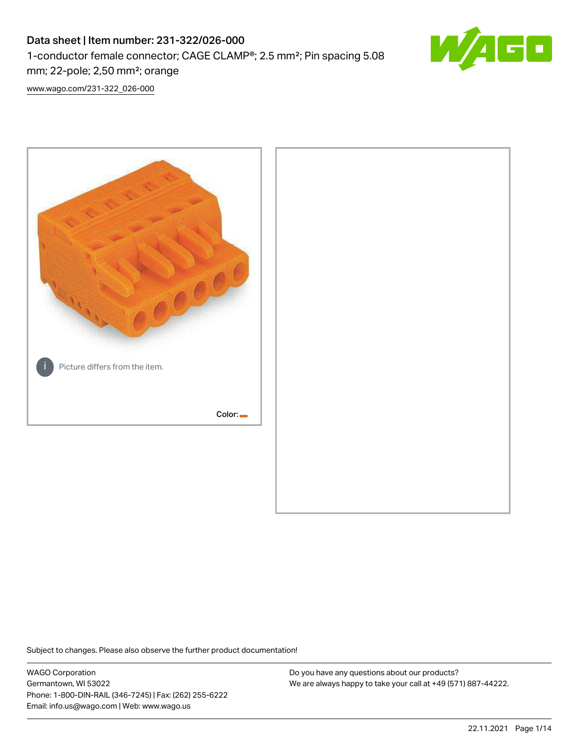# Data sheet | Item number: 231-322/026-000 1-conductor female connector; CAGE CLAMP®; 2.5 mm²; Pin spacing 5.08 mm; 22-pole; 2,50 mm²; orange



[www.wago.com/231-322\\_026-000](http://www.wago.com/231-322_026-000)



Subject to changes. Please also observe the further product documentation!

WAGO Corporation Germantown, WI 53022 Phone: 1-800-DIN-RAIL (346-7245) | Fax: (262) 255-6222 Email: info.us@wago.com | Web: www.wago.us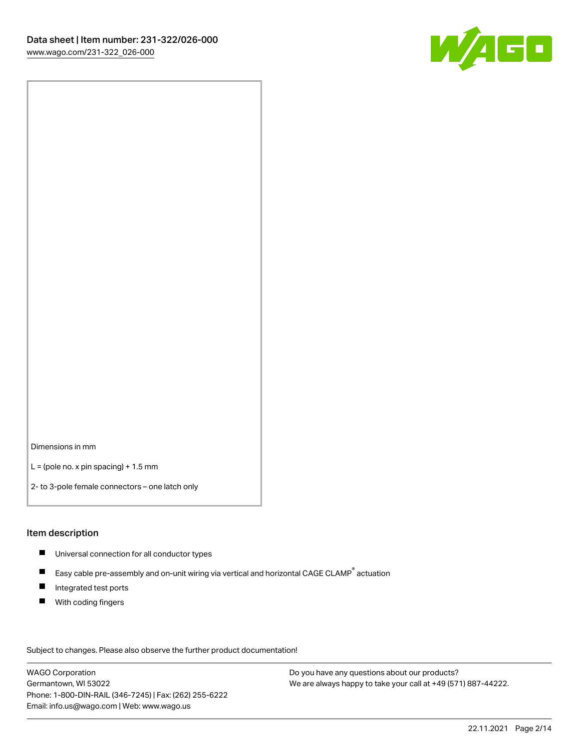

Dimensions in mm

 $L =$  (pole no. x pin spacing) + 1.5 mm

2- to 3-pole female connectors – one latch only

### Item description

- **Universal connection for all conductor types**
- Easy cable pre-assembly and on-unit wiring via vertical and horizontal CAGE CLAMP<sup>®</sup> actuation  $\blacksquare$
- $\blacksquare$ Integrated test ports
- $\blacksquare$ With coding fingers

Subject to changes. Please also observe the further product documentation! Data

WAGO Corporation Germantown, WI 53022 Phone: 1-800-DIN-RAIL (346-7245) | Fax: (262) 255-6222 Email: info.us@wago.com | Web: www.wago.us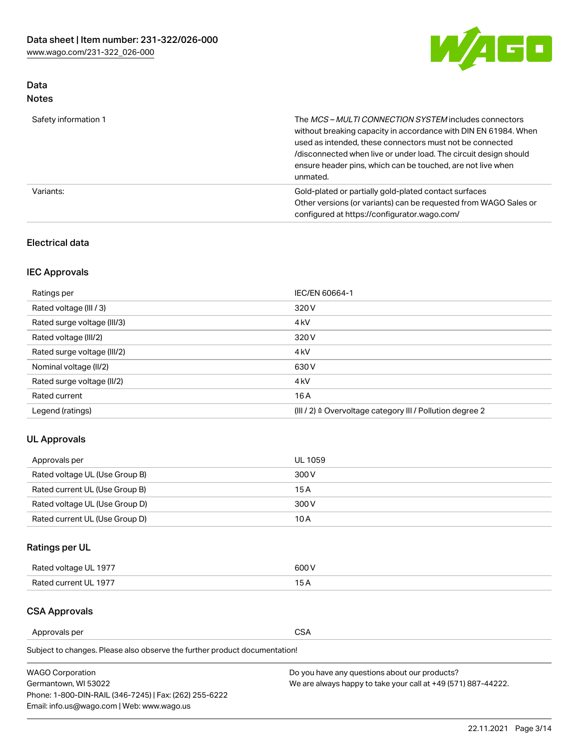

# Data Notes

| Safety information 1 | The <i>MCS – MULTI CONNECTION SYSTEM</i> includes connectors<br>without breaking capacity in accordance with DIN EN 61984. When<br>used as intended, these connectors must not be connected<br>/disconnected when live or under load. The circuit design should<br>ensure header pins, which can be touched, are not live when<br>unmated. |
|----------------------|--------------------------------------------------------------------------------------------------------------------------------------------------------------------------------------------------------------------------------------------------------------------------------------------------------------------------------------------|
| Variants:            | Gold-plated or partially gold-plated contact surfaces<br>Other versions (or variants) can be requested from WAGO Sales or<br>configured at https://configurator.wago.com/                                                                                                                                                                  |

## Electrical data

# IEC Approvals

| Ratings per                 | IEC/EN 60664-1                                                        |
|-----------------------------|-----------------------------------------------------------------------|
| Rated voltage (III / 3)     | 320 V                                                                 |
| Rated surge voltage (III/3) | 4 <sub>k</sub> V                                                      |
| Rated voltage (III/2)       | 320 V                                                                 |
| Rated surge voltage (III/2) | 4 <sub>k</sub> V                                                      |
| Nominal voltage (II/2)      | 630 V                                                                 |
| Rated surge voltage (II/2)  | 4 <sub>k</sub> V                                                      |
| Rated current               | 16A                                                                   |
| Legend (ratings)            | $(III / 2)$ $\triangle$ Overvoltage category III / Pollution degree 2 |

# UL Approvals

| Approvals per                  | UL 1059 |
|--------------------------------|---------|
| Rated voltage UL (Use Group B) | 300 V   |
| Rated current UL (Use Group B) | 15 A    |
| Rated voltage UL (Use Group D) | 300 V   |
| Rated current UL (Use Group D) | 10 A    |

# Ratings per UL

| Rated voltage UL 1977 | 300 V |
|-----------------------|-------|
| Rated current UL 1977 |       |

### CSA Approvals

Approvals per CSA

Subject to changes. Please also observe the further product documentation!

| <b>WAGO Corporation</b>                                | Do you have any questions about our products?                 |
|--------------------------------------------------------|---------------------------------------------------------------|
| Germantown, WI 53022                                   | We are always happy to take your call at +49 (571) 887-44222. |
| Phone: 1-800-DIN-RAIL (346-7245)   Fax: (262) 255-6222 |                                                               |
| Email: info.us@wago.com   Web: www.wago.us             |                                                               |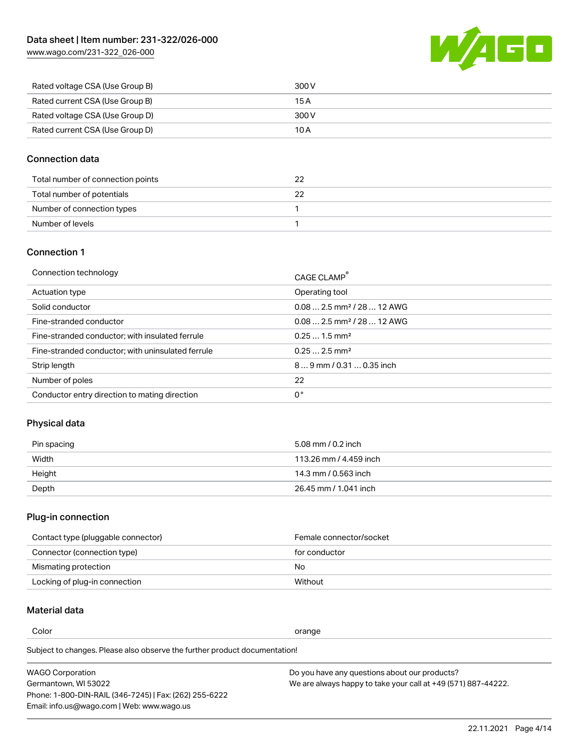[www.wago.com/231-322\\_026-000](http://www.wago.com/231-322_026-000)



| Rated voltage CSA (Use Group B) | 300 V |
|---------------------------------|-------|
| Rated current CSA (Use Group B) | 15 A  |
| Rated voltage CSA (Use Group D) | 300 V |
| Rated current CSA (Use Group D) | 10 A  |

### Connection data

| Total number of connection points |  |
|-----------------------------------|--|
| Total number of potentials        |  |
| Number of connection types        |  |
| Number of levels                  |  |

# Connection 1

| Connection technology                             | CAGE CLAMP®                             |
|---------------------------------------------------|-----------------------------------------|
| Actuation type                                    | Operating tool                          |
| Solid conductor                                   | $0.08$ 2.5 mm <sup>2</sup> / 28  12 AWG |
| Fine-stranded conductor                           | $0.082.5$ mm <sup>2</sup> / 28  12 AWG  |
| Fine-stranded conductor; with insulated ferrule   | $0.251.5$ mm <sup>2</sup>               |
| Fine-stranded conductor; with uninsulated ferrule | $0.252.5$ mm <sup>2</sup>               |
| Strip length                                      | $89$ mm / 0.31  0.35 inch               |
| Number of poles                                   | 22                                      |
| Conductor entry direction to mating direction     | 0°                                      |
|                                                   |                                         |

# Physical data

| Pin spacing | 5.08 mm / 0.2 inch     |
|-------------|------------------------|
| Width       | 113.26 mm / 4.459 inch |
| Height      | 14.3 mm / 0.563 inch   |
| Depth       | 26.45 mm / 1.041 inch  |

# Plug-in connection

| Contact type (pluggable connector) | Female connector/socket |
|------------------------------------|-------------------------|
| Connector (connection type)        | for conductor           |
| Mismating protection               | No                      |
| Locking of plug-in connection      | Without                 |

# Material data

Color contracts and contracts of the contracts of the contracts of the contracts of the contracts of the contracts of the contracts of the contracts of the contracts of the contracts of the contracts of the contracts of th

Subject to changes. Please also observe the further product documentation! Material group I

| <b>WAGO Corporation</b>                                | Do you have any questions about our products?                 |
|--------------------------------------------------------|---------------------------------------------------------------|
| Germantown, WI 53022                                   | We are always happy to take your call at +49 (571) 887-44222. |
| Phone: 1-800-DIN-RAIL (346-7245)   Fax: (262) 255-6222 |                                                               |
| Email: info.us@wago.com   Web: www.wago.us             |                                                               |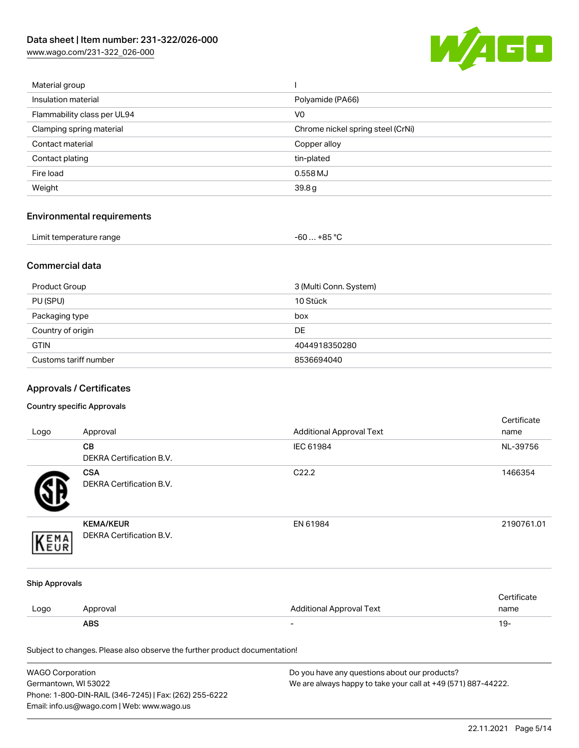[www.wago.com/231-322\\_026-000](http://www.wago.com/231-322_026-000)



| Material group              |                                   |
|-----------------------------|-----------------------------------|
| Insulation material         | Polyamide (PA66)                  |
| Flammability class per UL94 | V <sub>0</sub>                    |
| Clamping spring material    | Chrome nickel spring steel (CrNi) |
| Contact material            | Copper alloy                      |
| Contact plating             | tin-plated                        |
| Fire load                   | 0.558 MJ                          |
| Weight                      | 39.8g                             |
|                             |                                   |

# Environmental requirements

| Limit temperature range<br>. | … +85 °C.<br>-60 |  |
|------------------------------|------------------|--|
|------------------------------|------------------|--|

### Commercial data

| Product Group         | 3 (Multi Conn. System) |
|-----------------------|------------------------|
| PU (SPU)              | 10 Stück               |
| Packaging type        | box                    |
| Country of origin     | <b>DE</b>              |
| <b>GTIN</b>           | 4044918350280          |
| Customs tariff number | 8536694040             |

# Approvals / Certificates

### Country specific Approvals

|                       |                                                                            |                                 | Certificate |
|-----------------------|----------------------------------------------------------------------------|---------------------------------|-------------|
| Logo                  | Approval                                                                   | <b>Additional Approval Text</b> | name        |
|                       | CB                                                                         | IEC 61984                       | NL-39756    |
|                       | DEKRA Certification B.V.                                                   |                                 |             |
|                       | <b>CSA</b>                                                                 | C22.2                           | 1466354     |
|                       | <b>DEKRA Certification B.V.</b>                                            |                                 |             |
|                       | <b>KEMA/KEUR</b>                                                           | EN 61984                        | 2190761.01  |
| EMA                   | DEKRA Certification B.V.                                                   |                                 |             |
| <b>Ship Approvals</b> |                                                                            |                                 |             |
|                       |                                                                            |                                 | Certificate |
| Logo                  | Approval                                                                   | <b>Additional Approval Text</b> | name        |
|                       | <b>ABS</b>                                                                 |                                 | $19 -$      |
|                       | Subject to changes. Please also observe the further product documentation! |                                 |             |

| <b>WAGO Corporation</b>                                | Do you have any questions about our products?                 |
|--------------------------------------------------------|---------------------------------------------------------------|
| Germantown, WI 53022                                   | We are always happy to take your call at +49 (571) 887-44222. |
| Phone: 1-800-DIN-RAIL (346-7245)   Fax: (262) 255-6222 |                                                               |
| Email: info.us@wago.com   Web: www.wago.us             |                                                               |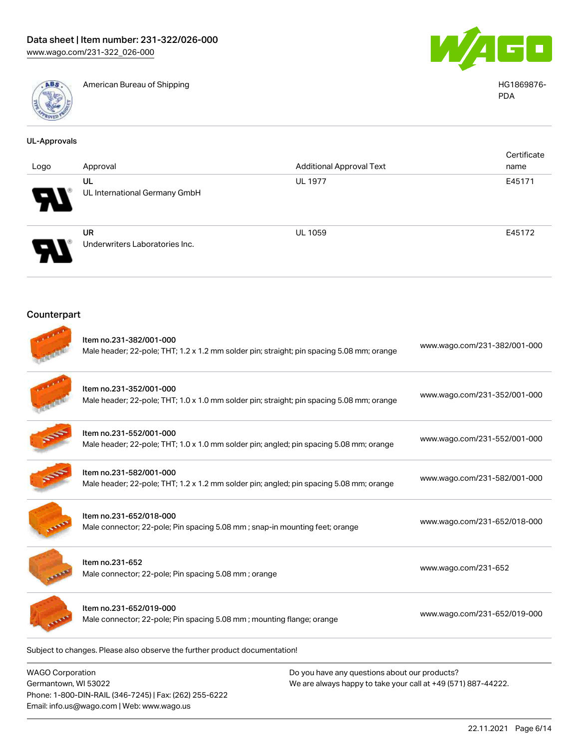Phone: 1-800-DIN-RAIL (346-7245) | Fax: (262) 255-6222

Email: info.us@wago.com | Web: www.wago.us



American Bureau of Shipping **HG1869876-** American Bureau of Shipping **HG1869876-**



PDA

| <b>UL-Approvals</b>                             |                                                                                                                      |                                                                                                                |                              |
|-------------------------------------------------|----------------------------------------------------------------------------------------------------------------------|----------------------------------------------------------------------------------------------------------------|------------------------------|
| Logo                                            | Approval                                                                                                             | <b>Additional Approval Text</b>                                                                                | Certificate<br>name          |
|                                                 | UL                                                                                                                   | <b>UL 1977</b>                                                                                                 | E45171                       |
|                                                 | UL International Germany GmbH                                                                                        |                                                                                                                |                              |
|                                                 | <b>UR</b><br>Underwriters Laboratories Inc.                                                                          | <b>UL 1059</b>                                                                                                 | E45172                       |
| Counterpart                                     |                                                                                                                      |                                                                                                                |                              |
|                                                 | Item no.231-382/001-000<br>Male header; 22-pole; THT; 1.2 x 1.2 mm solder pin; straight; pin spacing 5.08 mm; orange |                                                                                                                | www.wago.com/231-382/001-000 |
|                                                 | Item no.231-352/001-000<br>Male header; 22-pole; THT; 1.0 x 1.0 mm solder pin; straight; pin spacing 5.08 mm; orange |                                                                                                                | www.wago.com/231-352/001-000 |
|                                                 | Item no.231-552/001-000<br>Male header; 22-pole; THT; 1.0 x 1.0 mm solder pin; angled; pin spacing 5.08 mm; orange   |                                                                                                                | www.wago.com/231-552/001-000 |
|                                                 | Item no.231-582/001-000<br>Male header; 22-pole; THT; 1.2 x 1.2 mm solder pin; angled; pin spacing 5.08 mm; orange   |                                                                                                                | www.wago.com/231-582/001-000 |
|                                                 | Item no.231-652/018-000<br>Male connector; 22-pole; Pin spacing 5.08 mm; snap-in mounting feet; orange               |                                                                                                                | www.wago.com/231-652/018-000 |
|                                                 | Item no.231-652<br>Male connector; 22-pole; Pin spacing 5.08 mm; orange                                              |                                                                                                                | www.wago.com/231-652         |
|                                                 | Item no.231-652/019-000<br>Male connector; 22-pole; Pin spacing 5.08 mm; mounting flange; orange                     |                                                                                                                | www.wago.com/231-652/019-000 |
|                                                 | Subject to changes. Please also observe the further product documentation!                                           |                                                                                                                |                              |
| <b>WAGO Corporation</b><br>Germantown, WI 53022 |                                                                                                                      | Do you have any questions about our products?<br>We are always happy to take your call at +49 (571) 887-44222. |                              |

22.11.2021 Page 6/14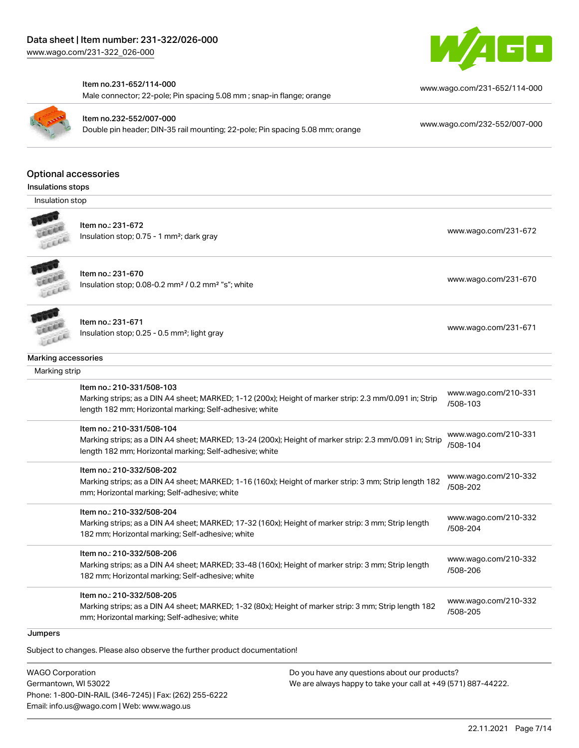

#### Item no.231-652/114-000

Male connector; 22-pole; Pin spacing 5.08 mm ; snap-in flange; orange



Item no.232-552/007-000 Double pin header; DIN-35 rail mounting; 22-pole; Pin spacing 5.08 mm; orange [www.wago.com/232-552/007-000](https://www.wago.com/232-552/007-000)

[www.wago.com/231-652/114-000](https://www.wago.com/231-652/114-000)

### Optional accessories

Insulations stops

Insulation stop



Item no.: 231-672

Insulation stop; 0.75 - 1 mm<sup>2</sup>; dark gray [www.wago.com/231-672](http://www.wago.com/231-672)<br>Insulation stop; 0.75 - 1 mm<sup>2</sup>; dark gray



Item no.: 231-670 Insulation stop; 0.08-0.2 mm<sup>2</sup> / 0.2 mm<sup>2</sup> "s"; white [www.wago.com/231-670](http://www.wago.com/231-670) www.wago.com/231-670

Item no.: 231-671 Insulation stop; 0.25 - 0.5 mm²; light gray [www.wago.com/231-671](http://www.wago.com/231-671) www.wago.com/231-671

#### Marking accessories

LEEEE

| Mai Killy accessories                                                                                                                                                                           |                                  |
|-------------------------------------------------------------------------------------------------------------------------------------------------------------------------------------------------|----------------------------------|
| Marking strip                                                                                                                                                                                   |                                  |
| Item no.: 210-331/508-103<br>Marking strips; as a DIN A4 sheet; MARKED; 1-12 (200x); Height of marker strip: 2.3 mm/0.091 in; Strip<br>length 182 mm; Horizontal marking; Self-adhesive; white  | www.wago.com/210-331<br>/508-103 |
| Item no.: 210-331/508-104<br>Marking strips; as a DIN A4 sheet; MARKED; 13-24 (200x); Height of marker strip: 2.3 mm/0.091 in; Strip<br>length 182 mm; Horizontal marking; Self-adhesive; white | www.wago.com/210-331<br>/508-104 |
| Item no.: 210-332/508-202<br>Marking strips; as a DIN A4 sheet; MARKED; 1-16 (160x); Height of marker strip: 3 mm; Strip length 182<br>mm; Horizontal marking; Self-adhesive; white             | www.wago.com/210-332<br>/508-202 |
| Item no.: 210-332/508-204<br>Marking strips; as a DIN A4 sheet; MARKED; 17-32 (160x); Height of marker strip: 3 mm; Strip length<br>182 mm; Horizontal marking; Self-adhesive; white            | www.wago.com/210-332<br>/508-204 |
| Item no.: 210-332/508-206<br>Marking strips; as a DIN A4 sheet; MARKED; 33-48 (160x); Height of marker strip: 3 mm; Strip length<br>182 mm; Horizontal marking; Self-adhesive; white            | www.wago.com/210-332<br>/508-206 |
| Item no.: 210-332/508-205<br>Marking strips; as a DIN A4 sheet; MARKED; 1-32 (80x); Height of marker strip: 3 mm; Strip length 182<br>mm; Horizontal marking; Self-adhesive; white              | www.wago.com/210-332<br>/508-205 |

### **Jumpers**

Subject to changes. Please also observe the further product documentation!

WAGO Corporation Germantown, WI 53022 Phone: 1-800-DIN-RAIL (346-7245) | Fax: (262) 255-6222 Email: info.us@wago.com | Web: www.wago.us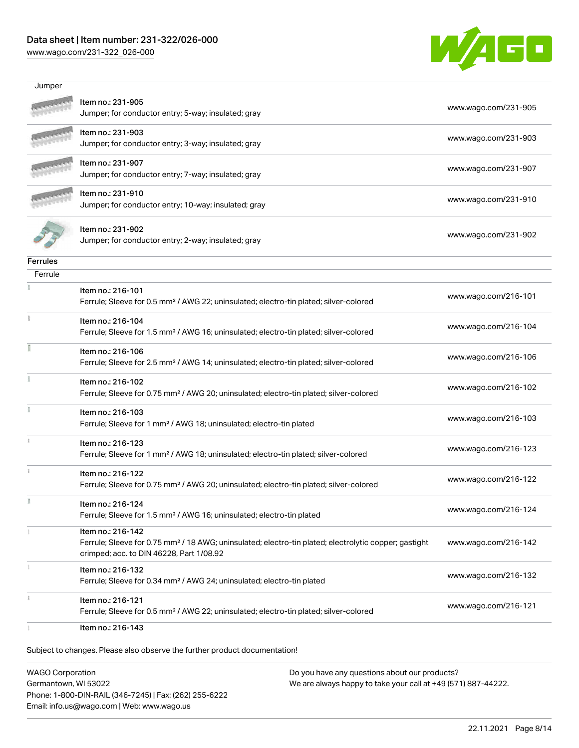# Data sheet | Item number: 231-322/026-000

[www.wago.com/231-322\\_026-000](http://www.wago.com/231-322_026-000)



| Item no.: 231-905                                                                                                                                                                  |                      |
|------------------------------------------------------------------------------------------------------------------------------------------------------------------------------------|----------------------|
| Jumper; for conductor entry; 5-way; insulated; gray                                                                                                                                | www.wago.com/231-905 |
| Item no.: 231-903<br>Jumper; for conductor entry; 3-way; insulated; gray                                                                                                           | www.wago.com/231-903 |
| ltem no.: 231-907<br>Jumper; for conductor entry; 7-way; insulated; gray                                                                                                           | www.wago.com/231-907 |
| Item no.: 231-910<br>Jumper; for conductor entry; 10-way; insulated; gray                                                                                                          | www.wago.com/231-910 |
| Item no.: 231-902<br>Jumper; for conductor entry; 2-way; insulated; gray                                                                                                           | www.wago.com/231-902 |
|                                                                                                                                                                                    |                      |
|                                                                                                                                                                                    |                      |
| Item no.: 216-101<br>Ferrule; Sleeve for 0.5 mm <sup>2</sup> / AWG 22; uninsulated; electro-tin plated; silver-colored                                                             | www.wago.com/216-101 |
| Item no.: 216-104<br>Ferrule; Sleeve for 1.5 mm <sup>2</sup> / AWG 16; uninsulated; electro-tin plated; silver-colored                                                             | www.wago.com/216-104 |
| Item no.: 216-106<br>Ferrule; Sleeve for 2.5 mm <sup>2</sup> / AWG 14; uninsulated; electro-tin plated; silver-colored                                                             | www.wago.com/216-106 |
| Item no.: 216-102<br>Ferrule; Sleeve for 0.75 mm <sup>2</sup> / AWG 20; uninsulated; electro-tin plated; silver-colored                                                            | www.wago.com/216-102 |
| Item no.: 216-103<br>Ferrule; Sleeve for 1 mm <sup>2</sup> / AWG 18; uninsulated; electro-tin plated                                                                               | www.wago.com/216-103 |
| Item no.: 216-123<br>Ferrule; Sleeve for 1 mm <sup>2</sup> / AWG 18; uninsulated; electro-tin plated; silver-colored                                                               | www.wago.com/216-123 |
| Item no.: 216-122<br>Ferrule; Sleeve for 0.75 mm <sup>2</sup> / AWG 20; uninsulated; electro-tin plated; silver-colored                                                            | www.wago.com/216-122 |
| Item no.: 216-124<br>Ferrule; Sleeve for 1.5 mm <sup>2</sup> / AWG 16; uninsulated; electro-tin plated                                                                             | www.wago.com/216-124 |
| Item no.: 216-142<br>Ferrule; Sleeve for 0.75 mm <sup>2</sup> / 18 AWG; uninsulated; electro-tin plated; electrolytic copper; gastight<br>crimped; acc. to DIN 46228, Part 1/08.92 | www.wago.com/216-142 |
| Item no.: 216-132<br>Ferrule; Sleeve for 0.34 mm <sup>2</sup> / AWG 24; uninsulated; electro-tin plated                                                                            | www.wago.com/216-132 |
| Item no.: 216-121<br>Ferrule; Sleeve for 0.5 mm <sup>2</sup> / AWG 22; uninsulated; electro-tin plated; silver-colored                                                             | www.wago.com/216-121 |
|                                                                                                                                                                                    | Item no.: 216-143    |

WAGO Corporation Germantown, WI 53022 Phone: 1-800-DIN-RAIL (346-7245) | Fax: (262) 255-6222 Email: info.us@wago.com | Web: www.wago.us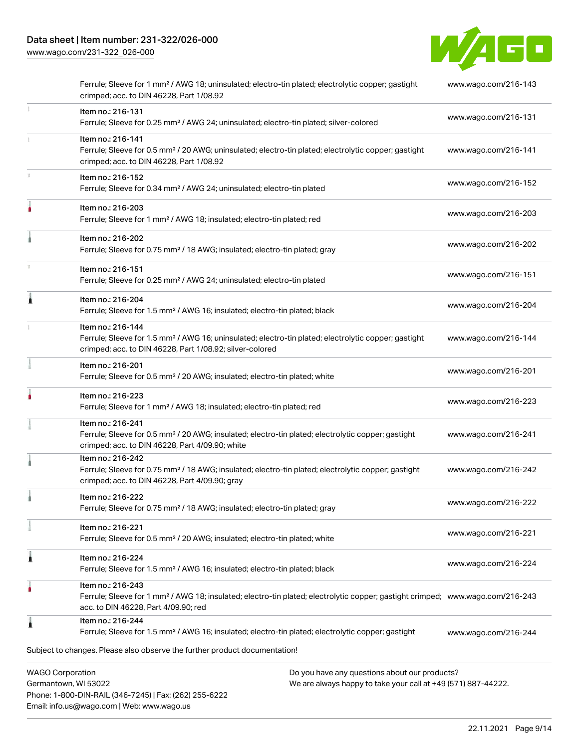Email: info.us@wago.com | Web: www.wago.us

[www.wago.com/231-322\\_026-000](http://www.wago.com/231-322_026-000)



|   | Ferrule; Sleeve for 1 mm <sup>2</sup> / AWG 18; uninsulated; electro-tin plated; electrolytic copper; gastight<br>crimped; acc. to DIN 46228, Part 1/08.92                                              |                                                                                                                | www.wago.com/216-143 |
|---|---------------------------------------------------------------------------------------------------------------------------------------------------------------------------------------------------------|----------------------------------------------------------------------------------------------------------------|----------------------|
| 1 | Item no.: 216-131<br>Ferrule; Sleeve for 0.25 mm <sup>2</sup> / AWG 24; uninsulated; electro-tin plated; silver-colored                                                                                 |                                                                                                                | www.wago.com/216-131 |
|   | Item no.: 216-141<br>Ferrule; Sleeve for 0.5 mm <sup>2</sup> / 20 AWG; uninsulated; electro-tin plated; electrolytic copper; gastight<br>crimped; acc. to DIN 46228, Part 1/08.92                       |                                                                                                                | www.wago.com/216-141 |
|   | Item no.: 216-152<br>Ferrule; Sleeve for 0.34 mm <sup>2</sup> / AWG 24; uninsulated; electro-tin plated                                                                                                 |                                                                                                                | www.wago.com/216-152 |
|   | Item no.: 216-203<br>Ferrule; Sleeve for 1 mm <sup>2</sup> / AWG 18; insulated; electro-tin plated; red                                                                                                 |                                                                                                                | www.wago.com/216-203 |
|   | Item no.: 216-202<br>Ferrule; Sleeve for 0.75 mm <sup>2</sup> / 18 AWG; insulated; electro-tin plated; gray                                                                                             |                                                                                                                | www.wago.com/216-202 |
|   | Item no.: 216-151<br>Ferrule; Sleeve for 0.25 mm <sup>2</sup> / AWG 24; uninsulated; electro-tin plated                                                                                                 |                                                                                                                | www.wago.com/216-151 |
|   | Item no.: 216-204<br>Ferrule; Sleeve for 1.5 mm <sup>2</sup> / AWG 16; insulated; electro-tin plated; black                                                                                             |                                                                                                                | www.wago.com/216-204 |
|   | Item no.: 216-144<br>Ferrule; Sleeve for 1.5 mm <sup>2</sup> / AWG 16; uninsulated; electro-tin plated; electrolytic copper; gastight<br>crimped; acc. to DIN 46228, Part 1/08.92; silver-colored       |                                                                                                                | www.wago.com/216-144 |
|   | Item no.: 216-201<br>Ferrule; Sleeve for 0.5 mm <sup>2</sup> / 20 AWG; insulated; electro-tin plated; white                                                                                             |                                                                                                                | www.wago.com/216-201 |
|   | Item no.: 216-223<br>Ferrule; Sleeve for 1 mm <sup>2</sup> / AWG 18; insulated; electro-tin plated; red                                                                                                 |                                                                                                                | www.wago.com/216-223 |
|   | Item no.: 216-241<br>Ferrule; Sleeve for 0.5 mm <sup>2</sup> / 20 AWG; insulated; electro-tin plated; electrolytic copper; gastight<br>crimped; acc. to DIN 46228, Part 4/09.90; white                  |                                                                                                                | www.wago.com/216-241 |
|   | Item no.: 216-242<br>Ferrule; Sleeve for 0.75 mm <sup>2</sup> / 18 AWG; insulated; electro-tin plated; electrolytic copper; gastight<br>crimped; acc. to DIN 46228, Part 4/09.90; gray                  |                                                                                                                | www.wago.com/216-242 |
|   | Item no.: 216-222<br>Ferrule; Sleeve for 0.75 mm <sup>2</sup> / 18 AWG; insulated; electro-tin plated; gray                                                                                             |                                                                                                                | www.wago.com/216-222 |
|   | Item no.: 216-221<br>Ferrule; Sleeve for 0.5 mm <sup>2</sup> / 20 AWG; insulated; electro-tin plated; white                                                                                             |                                                                                                                | www.wago.com/216-221 |
|   | Item no.: 216-224<br>Ferrule; Sleeve for 1.5 mm <sup>2</sup> / AWG 16; insulated; electro-tin plated; black                                                                                             |                                                                                                                | www.wago.com/216-224 |
|   | Item no.: 216-243<br>Ferrule; Sleeve for 1 mm <sup>2</sup> / AWG 18; insulated; electro-tin plated; electrolytic copper; gastight crimped; www.wago.com/216-243<br>acc. to DIN 46228, Part 4/09.90; red |                                                                                                                |                      |
|   | Item no.: 216-244<br>Ferrule; Sleeve for 1.5 mm <sup>2</sup> / AWG 16; insulated; electro-tin plated; electrolytic copper; gastight                                                                     |                                                                                                                | www.wago.com/216-244 |
|   | Subject to changes. Please also observe the further product documentation!                                                                                                                              |                                                                                                                |                      |
|   | <b>WAGO Corporation</b><br>Germantown, WI 53022<br>Phone: 1-800-DIN-RAIL (346-7245)   Fax: (262) 255-6222                                                                                               | Do you have any questions about our products?<br>We are always happy to take your call at +49 (571) 887-44222. |                      |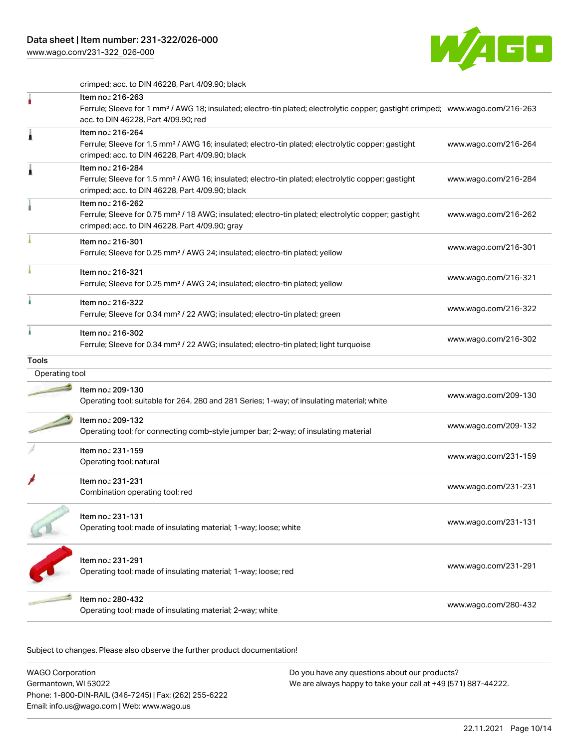[www.wago.com/231-322\\_026-000](http://www.wago.com/231-322_026-000)



crimped; acc. to DIN 46228, Part 4/09.90; black

|                | Item no.: 216-263<br>Ferrule; Sleeve for 1 mm <sup>2</sup> / AWG 18; insulated; electro-tin plated; electrolytic copper; gastight crimped; www.wago.com/216-263<br>acc. to DIN 46228, Part 4/09.90; red |                      |
|----------------|---------------------------------------------------------------------------------------------------------------------------------------------------------------------------------------------------------|----------------------|
| Â              | Item no.: 216-264<br>Ferrule; Sleeve for 1.5 mm <sup>2</sup> / AWG 16; insulated; electro-tin plated; electrolytic copper; gastight<br>crimped; acc. to DIN 46228, Part 4/09.90; black                  | www.wago.com/216-264 |
| Â              | Item no.: 216-284<br>Ferrule; Sleeve for 1.5 mm <sup>2</sup> / AWG 16; insulated; electro-tin plated; electrolytic copper; gastight<br>crimped; acc. to DIN 46228, Part 4/09.90; black                  | www.wago.com/216-284 |
|                | Item no.: 216-262<br>Ferrule; Sleeve for 0.75 mm <sup>2</sup> / 18 AWG; insulated; electro-tin plated; electrolytic copper; gastight<br>crimped; acc. to DIN 46228, Part 4/09.90; gray                  | www.wago.com/216-262 |
|                | Item no.: 216-301<br>Ferrule; Sleeve for 0.25 mm <sup>2</sup> / AWG 24; insulated; electro-tin plated; yellow                                                                                           | www.wago.com/216-301 |
|                | Item no.: 216-321<br>Ferrule; Sleeve for 0.25 mm <sup>2</sup> / AWG 24; insulated; electro-tin plated; yellow                                                                                           | www.wago.com/216-321 |
|                | Item no.: 216-322<br>Ferrule; Sleeve for 0.34 mm <sup>2</sup> / 22 AWG; insulated; electro-tin plated; green                                                                                            | www.wago.com/216-322 |
|                | Item no.: 216-302<br>Ferrule; Sleeve for 0.34 mm <sup>2</sup> / 22 AWG; insulated; electro-tin plated; light turquoise                                                                                  | www.wago.com/216-302 |
| <b>Tools</b>   |                                                                                                                                                                                                         |                      |
| Operating tool |                                                                                                                                                                                                         |                      |
|                | Item no.: 209-130<br>Operating tool; suitable for 264, 280 and 281 Series; 1-way; of insulating material; white                                                                                         | www.wago.com/209-130 |
|                | Item no.: 209-132<br>Operating tool; for connecting comb-style jumper bar; 2-way; of insulating material                                                                                                | www.wago.com/209-132 |
|                | Item no.: 231-159<br>Operating tool; natural                                                                                                                                                            | www.wago.com/231-159 |
|                | Item no.: 231-231<br>Combination operating tool; red                                                                                                                                                    | www.wago.com/231-231 |
|                | Item no.: 231-131<br>Operating tool; made of insulating material; 1-way; loose; white                                                                                                                   | www.wago.com/231-131 |
|                | Item no.: 231-291<br>Operating tool; made of insulating material; 1-way; loose; red                                                                                                                     | www.wago.com/231-291 |
|                | Item no.: 280-432<br>Operating tool; made of insulating material; 2-way; white                                                                                                                          | www.wago.com/280-432 |
|                |                                                                                                                                                                                                         |                      |

Subject to changes. Please also observe the further product documentation!

| WAGO Corporation                                       | Do you have any questions about our products?                 |  |
|--------------------------------------------------------|---------------------------------------------------------------|--|
| Germantown, WI 53022                                   | We are always happy to take your call at +49 (571) 887-44222. |  |
| Phone: 1-800-DIN-RAIL (346-7245)   Fax: (262) 255-6222 |                                                               |  |
| Email: info.us@wago.com   Web: www.wago.us             |                                                               |  |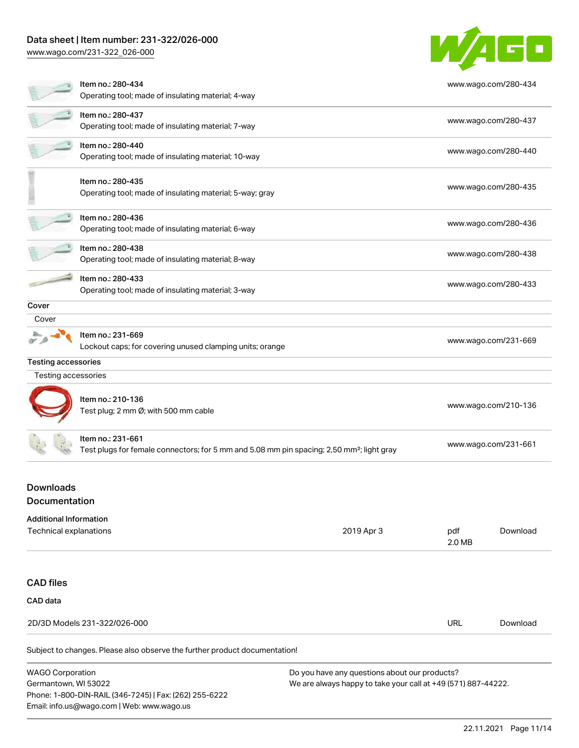# Data sheet | Item number: 231-322/026-000

Email: info.us@wago.com | Web: www.wago.us

[www.wago.com/231-322\\_026-000](http://www.wago.com/231-322_026-000)



|                                                         | Item no.: 280-434<br>Operating tool; made of insulating material; 4-way                                                    |                                                                                                                |               | www.wago.com/280-434 |
|---------------------------------------------------------|----------------------------------------------------------------------------------------------------------------------------|----------------------------------------------------------------------------------------------------------------|---------------|----------------------|
|                                                         | Item no.: 280-437<br>Operating tool; made of insulating material; 7-way                                                    |                                                                                                                |               | www.wago.com/280-437 |
|                                                         | Item no.: 280-440<br>Operating tool; made of insulating material; 10-way                                                   |                                                                                                                |               | www.wago.com/280-440 |
|                                                         | Item no.: 280-435<br>Operating tool; made of insulating material; 5-way; gray                                              |                                                                                                                |               | www.wago.com/280-435 |
|                                                         | Item no.: 280-436<br>Operating tool; made of insulating material; 6-way                                                    |                                                                                                                |               | www.wago.com/280-436 |
|                                                         | Item no.: 280-438<br>Operating tool; made of insulating material; 8-way                                                    |                                                                                                                |               | www.wago.com/280-438 |
|                                                         | Item no.: 280-433<br>Operating tool; made of insulating material; 3-way                                                    |                                                                                                                |               | www.wago.com/280-433 |
| Cover                                                   |                                                                                                                            |                                                                                                                |               |                      |
| Cover                                                   |                                                                                                                            |                                                                                                                |               |                      |
|                                                         | Item no.: 231-669<br>Lockout caps; for covering unused clamping units; orange                                              |                                                                                                                |               | www.wago.com/231-669 |
| <b>Testing accessories</b>                              |                                                                                                                            |                                                                                                                |               |                      |
| Testing accessories                                     |                                                                                                                            |                                                                                                                |               |                      |
|                                                         | Item no.: 210-136<br>Test plug; 2 mm Ø; with 500 mm cable                                                                  |                                                                                                                |               | www.wago.com/210-136 |
|                                                         | Item no.: 231-661<br>Test plugs for female connectors; for 5 mm and 5.08 mm pin spacing; 2,50 mm <sup>2</sup> ; light gray |                                                                                                                |               | www.wago.com/231-661 |
| <b>Downloads</b><br>Documentation                       |                                                                                                                            |                                                                                                                |               |                      |
| <b>Additional Information</b><br>Technical explanations |                                                                                                                            | 2019 Apr 3                                                                                                     | pdf<br>2.0 MB | Download             |
| <b>CAD</b> files                                        |                                                                                                                            |                                                                                                                |               |                      |
| CAD data                                                |                                                                                                                            |                                                                                                                |               |                      |
|                                                         | 2D/3D Models 231-322/026-000                                                                                               |                                                                                                                | <b>URL</b>    | Download             |
|                                                         | Subject to changes. Please also observe the further product documentation!                                                 |                                                                                                                |               |                      |
| <b>WAGO Corporation</b><br>Germantown, WI 53022         | Phone: 1-800-DIN-RAIL (346-7245)   Fax: (262) 255-6222                                                                     | Do you have any questions about our products?<br>We are always happy to take your call at +49 (571) 887-44222. |               |                      |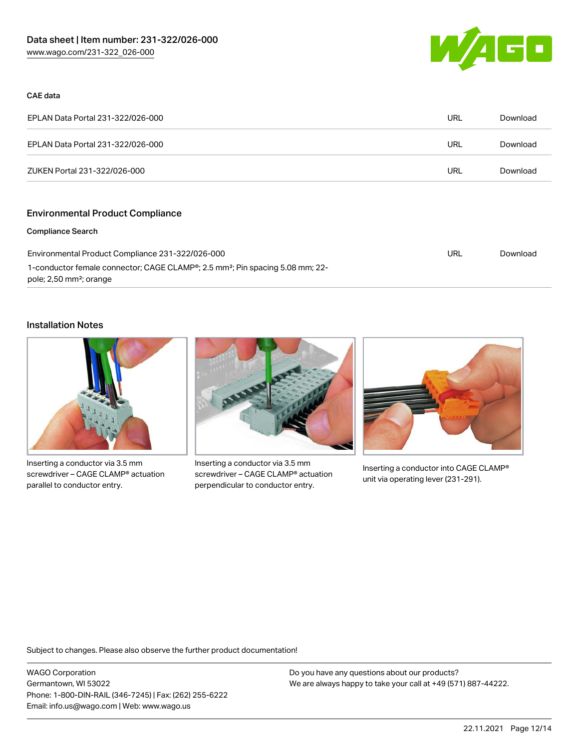

### CAE data

| EPLAN Data Portal 231-322/026-000 | URL | Download |
|-----------------------------------|-----|----------|
| EPLAN Data Portal 231-322/026-000 | URL | Download |
| ZUKEN Portal 231-322/026-000      | URL | Download |

# Environmental Product Compliance

#### Compliance Search

| Environmental Product Compliance 231-322/026-000                                                       | URL | Download |
|--------------------------------------------------------------------------------------------------------|-----|----------|
| 1-conductor female connector; CAGE CLAMP <sup>®</sup> ; 2.5 mm <sup>2</sup> ; Pin spacing 5.08 mm; 22- |     |          |
| pole; 2,50 mm <sup>2</sup> ; orange                                                                    |     |          |

### Installation Notes



Inserting a conductor via 3.5 mm screwdriver – CAGE CLAMP® actuation parallel to conductor entry.



Inserting a conductor via 3.5 mm screwdriver – CAGE CLAMP® actuation perpendicular to conductor entry.



Inserting a conductor into CAGE CLAMP® unit via operating lever (231-291).

Subject to changes. Please also observe the further product documentation!

WAGO Corporation Germantown, WI 53022 Phone: 1-800-DIN-RAIL (346-7245) | Fax: (262) 255-6222 Email: info.us@wago.com | Web: www.wago.us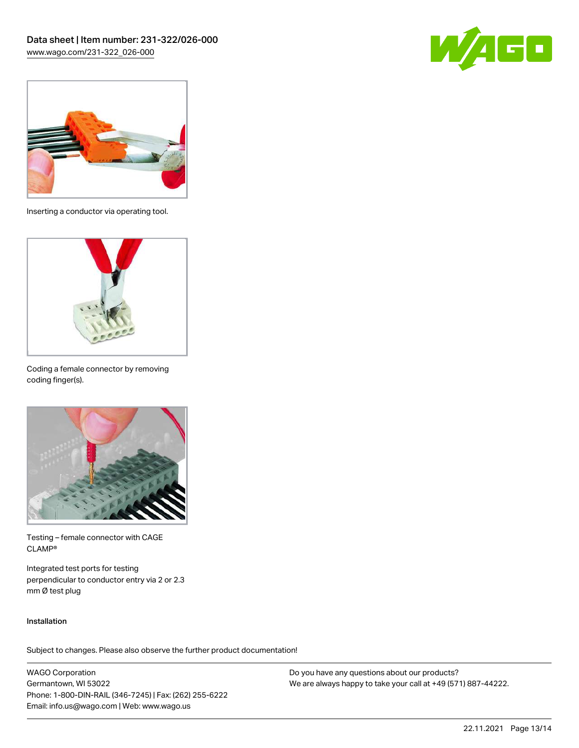



Inserting a conductor via operating tool.



Coding a female connector by removing coding finger(s).



Testing – female connector with CAGE CLAMP®

Integrated test ports for testing perpendicular to conductor entry via 2 or 2.3 mm Ø test plug

### Installation

Subject to changes. Please also observe the further product documentation!

WAGO Corporation Germantown, WI 53022 Phone: 1-800-DIN-RAIL (346-7245) | Fax: (262) 255-6222 Email: info.us@wago.com | Web: www.wago.us